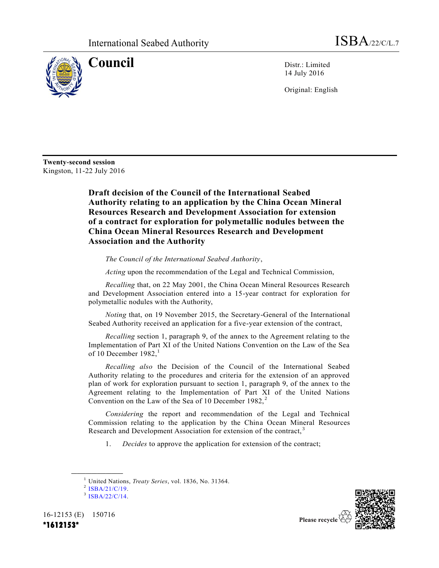

**Council** Distr.: Limited 14 July 2016

Original: English

**Twenty-second session** Kingston, 11-22 July 2016

> **Draft decision of the Council of the International Seabed Authority relating to an application by the China Ocean Mineral Resources Research and Development Association for extension of a contract for exploration for polymetallic nodules between the China Ocean Mineral Resources Research and Development Association and the Authority**

*The Council of the International Seabed Authority*,

*Acting* upon the recommendation of the Legal and Technical Commission,

*Recalling* that, on 22 May 2001, the China Ocean Mineral Resources Research and Development Association entered into a 15-year contract for exploration for polymetallic nodules with the Authority,

*Noting* that, on 19 November 2015, the Secretary-General of the International Seabed Authority received an application for a five-year extension of the contract,

*Recalling* section 1, paragraph 9, of the annex to the Agreement relating to the Implementation of Part XI of the United Nations Convention on the Law of the Sea of 10 December  $1982<sup>1</sup>$ 

*Recalling also* the Decision of the Council of the International Seabed Authority relating to the procedures and criteria for the extension of an approved plan of work for exploration pursuant to section 1, paragraph 9, of the annex to the Agreement relating to the Implementation of Part XI of the United Nations Convention on the Law of the Sea of 10 December  $1982$ ,<sup>2</sup>

*Considering* the report and recommendation of the Legal and Technical Commission relating to the application by the China Ocean Mineral Resources Research and Development Association for extension of the contract,<sup>3</sup>

1. *Decides* to approve the application for extension of the contract;

**\_\_\_\_\_\_\_\_\_\_\_\_\_\_\_\_\_\_**

16-12153 (E) 150716 **\*1612153\*** 



<sup>1</sup> United Nations, *Treaty Series*, vol. 1836, No. 31364.

 $2$  [ISBA/21/C/19.](http://undocs.org/ISBA/21/C/19)

<sup>3</sup> [ISBA/22/C/14.](http://undocs.org/ISBA/22/C/14)